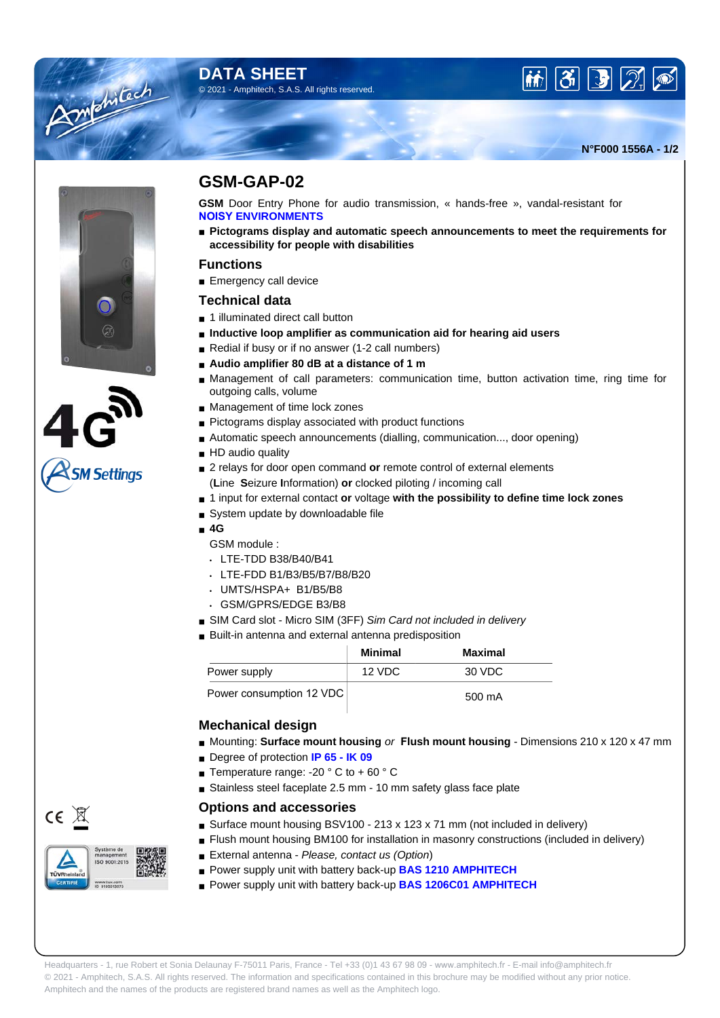## **DATA SHEET** © 2021 - Amphitech, S.A.S. All rights reserved.





Amteritiech

# **SM Settinas**

 $CE \times$ 

# **GSM-GAP-02**

**GSM** Door Entry Phone for audio transmission, « hands-free », vandal-resistant for **NOISY ENVIRONMENTS**

■ Pictograms display and automatic speech announcements to meet the requirements for **accessibility for people with disabilities**

### **Functions**

■ Emergency call device

### **Technical data**

- 1 illuminated direct call button
- **Inductive loop amplifier as communication aid for hearing aid users**
- Redial if busy or if no answer (1-2 call numbers)
- Audio amplifier 80 dB at a distance of 1 m
- Management of call parameters: communication time, button activation time, ring time for outgoing calls, volume
- Management of time lock zones
- Pictograms display associated with product functions
- Automatic speech announcements (dialling, communication..., door opening)
- HD audio quality
- 2 relays for door open command or remote control of external elements (**L**ine **S**eizure **I**nformation) **or** clocked piloting / incoming call
- 1 input for external contact **or** voltage **with the possibility to define time lock zones**
- System update by downloadable file
- **4G**
	- GSM module :
	- LTE-TDD B38/B40/B41
	- LTE-FDD B1/B3/B5/B7/B8/B20
	- UMTS/HSPA+ B1/B5/B8
	- GSM/GPRS/EDGE B3/B8
- SIM Card slot Micro SIM (3FF) Sim Card not included in delivery
- Built-in antenna and external antenna predisposition

|                          | <b>Minimal</b> | Maximal |
|--------------------------|----------------|---------|
| Power supply             | 12 VDC         | 30 VDC  |
| Power consumption 12 VDC |                | 500 mA  |

### **Mechanical design**

- Mounting: Surface mount housing or Flush mount housing Dimensions 210 x 120 x 47 mm
- Degree of protection **IP 65 IK 09**
- **Temperature range: -20 ° C to + 60 ° C**
- Stainless steel faceplate 2.5 mm 10 mm safety glass face plate

### **Options and accessories**

- Surface mount housing BSV100 213 x 123 x 71 mm (not included in delivery)
- Flush mount housing BM100 for installation in masonry constructions (included in delivery)
- External antenna Please, contact us (Option)
- Power supply unit with battery back-up **BAS 1210 AMPHITECH**
- Power supply unit with battery back-up **BAS 1206C01 AMPHITECH**